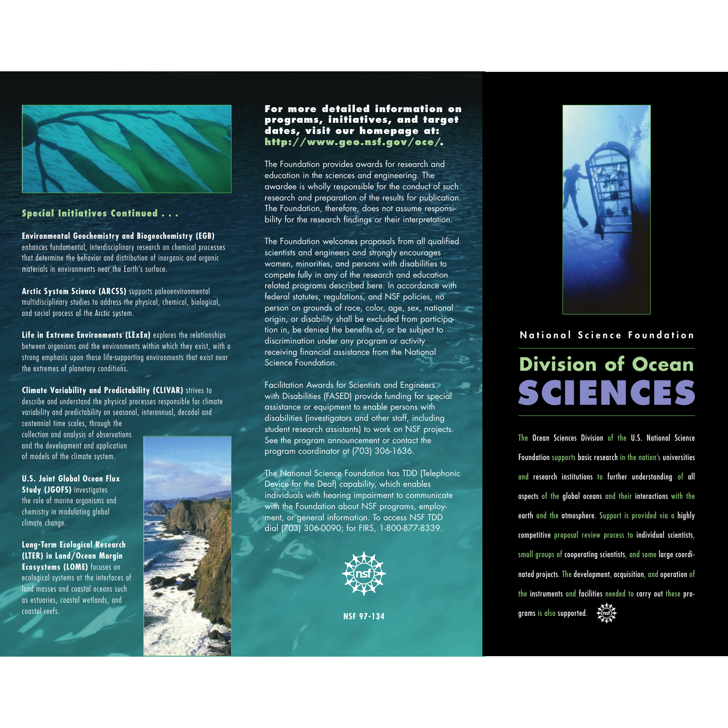

## **Special Initiatives Continued...**

**Environmental Geochemistry and Biogeochemistry (EGB)** enhances fundamental, interdisciplinary research on chemical processes that determine the behavior and distribution of inorganic and organic materials in environments near the Earth's surface.

**Arctic System Science (ARCSS)** supports paleoenvironmental multidisciplinary studies to address the physical, chemical, biological, and social process of the Arctic system.

**Life in Extreme Environments (LExEn)** explores the relationships between organisms and the environments within which they exist, with <sup>a</sup> strong emphasis upon those life-supporting environments that exist near the extremes of planetary conditions.

#### **Climate Variability and Predictability (CLIVAR)** strives to

describe and understand the physical processes responsible for climate variability and predictability on seasonal, interannual, decadal and

centennial time scales, through the collection and analysis of observations and the development and application of models of the climate system.

**U.S. Joint Global Ocean Flux Study (JGOFS)** investigates the role of marine organisms and chemistry in modulating global climate change.

**Long-Term Ecological Research (LTER) in Land/Ocean Margin Ecosystems (LOME)** focuses on ecological systems at the interfaces of land masses and coastal oceans such as estuaries, coastal wetlands, and coastal reefs.

**For more detailed information on programs, initiatives, and target dates, visit our homepage at: http://www.geo.nsf.gov/oce/.**

The Foundation provides awards for research and education in the sciences and engineering. The awardee is wholly responsible for the conduct of such research and preparation of the results for publication. The Foundation, therefore, does not assume responsibility for the research findings or their interpretation.

The Foundation welcomes proposals from all qualified scientists and engineers and strongly encourages women, minorities, and persons with disabilities to compete fully in any of the research and education related programs described here. In accordance with federal statutes, regulations, and NSF policies, no person on grounds of race, color, age, sex, national origin, or disability shall be excluded from participation in, be denied the benefits of, or be subject to discrimination under any program or activity receiving financial assistance from the National Science Foundation.

Facilitation Awards for Scientists and Engineers with Disabilities (FASED) provide funding for special assistance or equipment to enable persons with disabilities (investigators and other staff, including student research assistants) to work on NSF projects. See the program announcement or contact the program coordinator at (703) 306-1636.

The National Science Foundation has TDD (Telephonic Device for the Deaf) capability, which enables individuals with hearing impairment to communicate with the Foundation about NSF programs, employment, or general information. To access NSF TDD dial (703) 306-0090; for FIRS, 1-800-877-8339.



**NSF 97-134**



## **National Science Foundation**

# **SCIENCES Division of Ocean**

The Ocean Sciences Division of the U.S. National Science Foundation supports basic research in the nation's universities and research institutions to further understanding of all aspects of the global oceans and their interactions with the earth and the atmosphere. Support is provided via a highly competitive proposal review process to individual scientists, small groups of cooperating scientists, and some large coordinated projects. The development, acquisition, and operation of the instruments and facilities needed to carry out these pro-